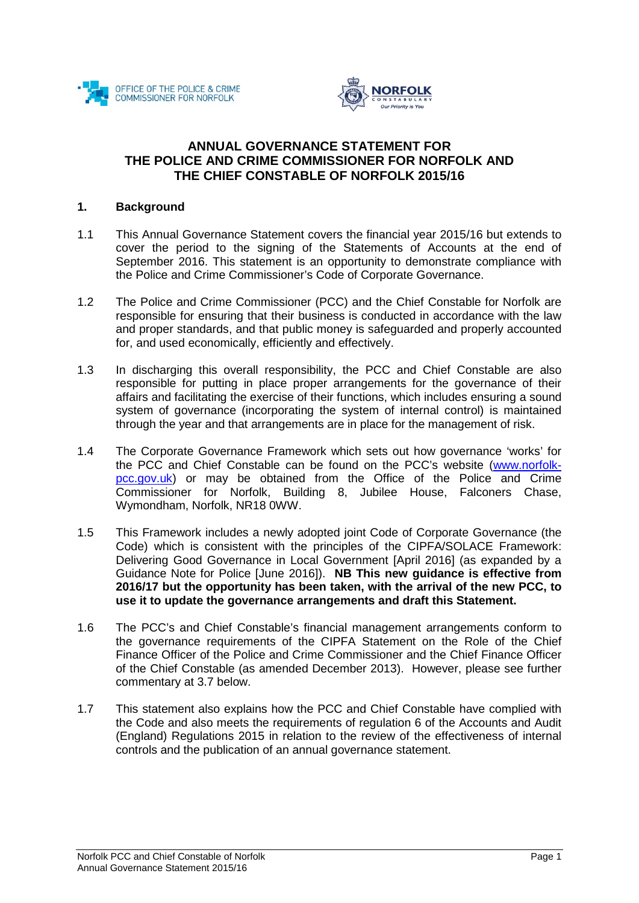



# **ANNUAL GOVERNANCE STATEMENT FOR THE POLICE AND CRIME COMMISSIONER FOR NORFOLK AND THE CHIEF CONSTABLE OF NORFOLK 2015/16**

#### **1. Background**

- 1.1 This Annual Governance Statement covers the financial year 2015/16 but extends to cover the period to the signing of the Statements of Accounts at the end of September 2016. This statement is an opportunity to demonstrate compliance with the Police and Crime Commissioner's Code of Corporate Governance.
- 1.2 The Police and Crime Commissioner (PCC) and the Chief Constable for Norfolk are responsible for ensuring that their business is conducted in accordance with the law and proper standards, and that public money is safeguarded and properly accounted for, and used economically, efficiently and effectively.
- 1.3 In discharging this overall responsibility, the PCC and Chief Constable are also responsible for putting in place proper arrangements for the governance of their affairs and facilitating the exercise of their functions, which includes ensuring a sound system of governance (incorporating the system of internal control) is maintained through the year and that arrangements are in place for the management of risk.
- 1.4 The Corporate Governance Framework which sets out how governance 'works' for the PCC and Chief Constable can be found on the PCC's website [\(www.norfolk](http://www.norfolk-pcc.gov.uk/)[pcc.gov.uk\)](http://www.norfolk-pcc.gov.uk/) or may be obtained from the Office of the Police and Crime Commissioner for Norfolk, Building 8, Jubilee House, Falconers Chase, Wymondham, Norfolk, NR18 0WW.
- 1.5 This Framework includes a newly adopted joint Code of Corporate Governance (the Code) which is consistent with the principles of the CIPFA/SOLACE Framework: Delivering Good Governance in Local Government [April 2016] (as expanded by a Guidance Note for Police [June 2016]). **NB This new guidance is effective from 2016/17 but the opportunity has been taken, with the arrival of the new PCC, to use it to update the governance arrangements and draft this Statement.**
- 1.6 The PCC's and Chief Constable's financial management arrangements conform to the governance requirements of the CIPFA Statement on the Role of the Chief Finance Officer of the Police and Crime Commissioner and the Chief Finance Officer of the Chief Constable (as amended December 2013). However, please see further commentary at 3.7 below.
- 1.7 This statement also explains how the PCC and Chief Constable have complied with the Code and also meets the requirements of regulation 6 of the Accounts and Audit (England) Regulations 2015 in relation to the review of the effectiveness of internal controls and the publication of an annual governance statement.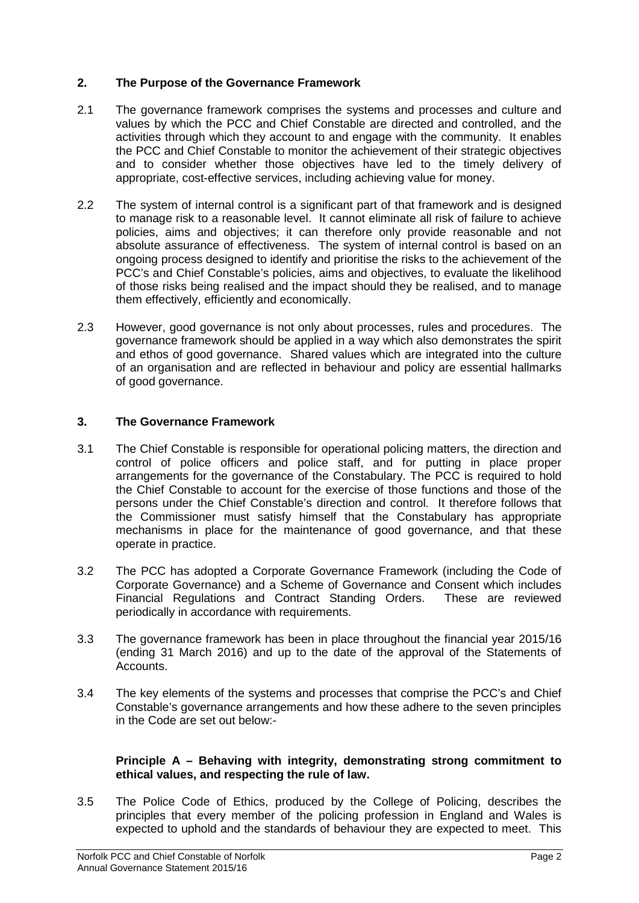# **2. The Purpose of the Governance Framework**

- 2.1 The governance framework comprises the systems and processes and culture and values by which the PCC and Chief Constable are directed and controlled, and the activities through which they account to and engage with the community. It enables the PCC and Chief Constable to monitor the achievement of their strategic objectives and to consider whether those objectives have led to the timely delivery of appropriate, cost-effective services, including achieving value for money.
- 2.2 The system of internal control is a significant part of that framework and is designed to manage risk to a reasonable level. It cannot eliminate all risk of failure to achieve policies, aims and objectives; it can therefore only provide reasonable and not absolute assurance of effectiveness. The system of internal control is based on an ongoing process designed to identify and prioritise the risks to the achievement of the PCC's and Chief Constable's policies, aims and objectives, to evaluate the likelihood of those risks being realised and the impact should they be realised, and to manage them effectively, efficiently and economically.
- 2.3 However, good governance is not only about processes, rules and procedures. The governance framework should be applied in a way which also demonstrates the spirit and ethos of good governance. Shared values which are integrated into the culture of an organisation and are reflected in behaviour and policy are essential hallmarks of good governance.

# **3. The Governance Framework**

- 3.1 The Chief Constable is responsible for operational policing matters, the direction and control of police officers and police staff, and for putting in place proper arrangements for the governance of the Constabulary. The PCC is required to hold the Chief Constable to account for the exercise of those functions and those of the persons under the Chief Constable's direction and control. It therefore follows that the Commissioner must satisfy himself that the Constabulary has appropriate mechanisms in place for the maintenance of good governance, and that these operate in practice.
- 3.2 The PCC has adopted a Corporate Governance Framework (including the Code of Corporate Governance) and a Scheme of Governance and Consent which includes Financial Regulations and Contract Standing Orders. These are reviewed periodically in accordance with requirements.
- 3.3 The governance framework has been in place throughout the financial year 2015/16 (ending 31 March 2016) and up to the date of the approval of the Statements of **Accounts**
- 3.4 The key elements of the systems and processes that comprise the PCC's and Chief Constable's governance arrangements and how these adhere to the seven principles in the Code are set out below:-

#### **Principle A – Behaving with integrity, demonstrating strong commitment to ethical values, and respecting the rule of law.**

3.5 The Police Code of Ethics, produced by the College of Policing, describes the principles that every member of the policing profession in England and Wales is expected to uphold and the standards of behaviour they are expected to meet. This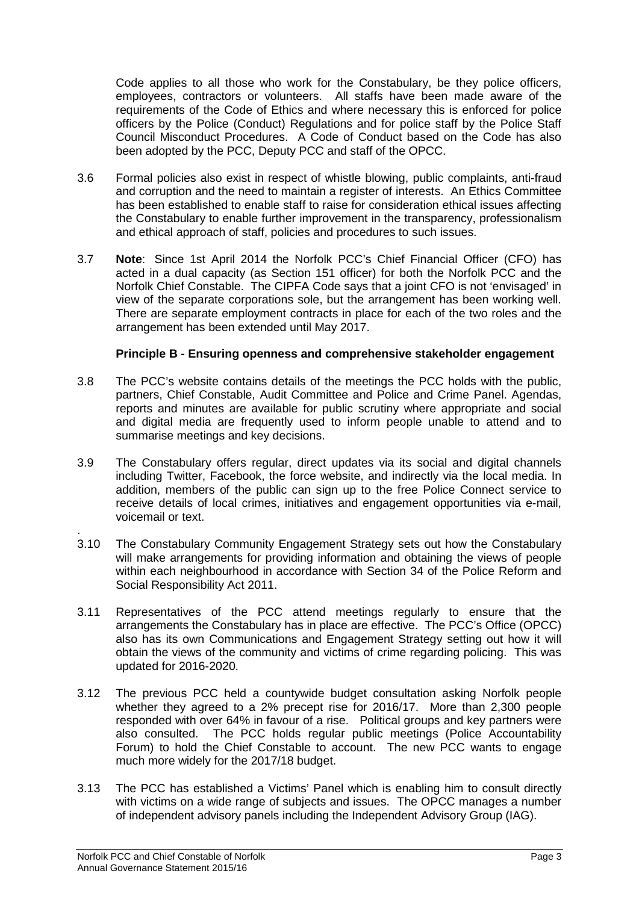Code applies to all those who work for the Constabulary, be they police officers, employees, contractors or volunteers. All staffs have been made aware of the requirements of the Code of Ethics and where necessary this is enforced for police officers by the Police (Conduct) Regulations and for police staff by the Police Staff Council Misconduct Procedures. A Code of Conduct based on the Code has also been adopted by the PCC, Deputy PCC and staff of the OPCC.

- 3.6 Formal policies also exist in respect of whistle blowing, public complaints, anti-fraud and corruption and the need to maintain a register of interests. An Ethics Committee has been established to enable staff to raise for consideration ethical issues affecting the Constabulary to enable further improvement in the transparency, professionalism and ethical approach of staff, policies and procedures to such issues.
- 3.7 **Note**: Since 1st April 2014 the Norfolk PCC's Chief Financial Officer (CFO) has acted in a dual capacity (as Section 151 officer) for both the Norfolk PCC and the Norfolk Chief Constable. The CIPFA Code says that a joint CFO is not 'envisaged' in view of the separate corporations sole, but the arrangement has been working well. There are separate employment contracts in place for each of the two roles and the arrangement has been extended until May 2017.

### **Principle B - Ensuring openness and comprehensive stakeholder engagement**

- 3.8 The PCC's website contains details of the meetings the PCC holds with the public, partners, Chief Constable, Audit Committee and Police and Crime Panel. Agendas, reports and minutes are available for public scrutiny where appropriate and social and digital media are frequently used to inform people unable to attend and to summarise meetings and key decisions.
- 3.9 The Constabulary offers regular, direct updates via its social and digital channels including Twitter, Facebook, the force website, and indirectly via the local media. In addition, members of the public can sign up to the free Police Connect service to receive details of local crimes, initiatives and engagement opportunities via e-mail, voicemail or text.
- . 3.10 The Constabulary Community Engagement Strategy sets out how the Constabulary will make arrangements for providing information and obtaining the views of people within each neighbourhood in accordance with Section 34 of the Police Reform and Social Responsibility Act 2011.
- 3.11 Representatives of the PCC attend meetings regularly to ensure that the arrangements the Constabulary has in place are effective. The PCC's Office (OPCC) also has its own Communications and Engagement Strategy setting out how it will obtain the views of the community and victims of crime regarding policing. This was updated for 2016-2020.
- 3.12 The previous PCC held a countywide budget consultation asking Norfolk people whether they agreed to a 2% precept rise for 2016/17. More than 2,300 people responded with over 64% in favour of a rise. Political groups and key partners were also consulted. The PCC holds regular public meetings (Police Accountability Forum) to hold the Chief Constable to account. The new PCC wants to engage much more widely for the 2017/18 budget.
- 3.13 The PCC has established a Victims' Panel which is enabling him to consult directly with victims on a wide range of subjects and issues. The OPCC manages a number of independent advisory panels including the Independent Advisory Group (IAG).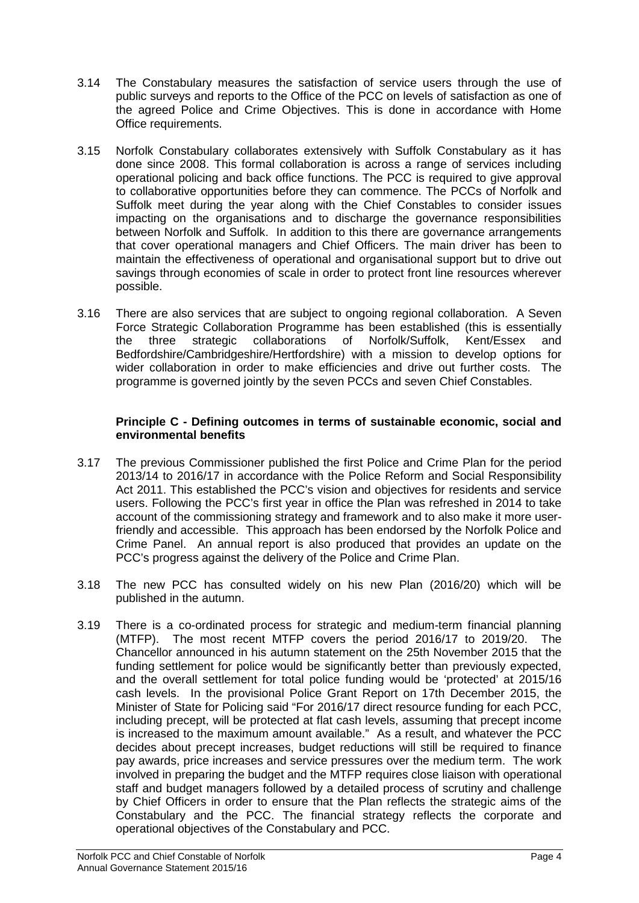- 3.14 The Constabulary measures the satisfaction of service users through the use of public surveys and reports to the Office of the PCC on levels of satisfaction as one of the agreed Police and Crime Objectives. This is done in accordance with Home Office requirements.
- 3.15 Norfolk Constabulary collaborates extensively with Suffolk Constabulary as it has done since 2008. This formal collaboration is across a range of services including operational policing and back office functions. The PCC is required to give approval to collaborative opportunities before they can commence. The PCCs of Norfolk and Suffolk meet during the year along with the Chief Constables to consider issues impacting on the organisations and to discharge the governance responsibilities between Norfolk and Suffolk. In addition to this there are governance arrangements that cover operational managers and Chief Officers. The main driver has been to maintain the effectiveness of operational and organisational support but to drive out savings through economies of scale in order to protect front line resources wherever possible.
- 3.16 There are also services that are subject to ongoing regional collaboration. A Seven Force Strategic Collaboration Programme has been established (this is essentially the three strategic collaborations of Norfolk/Suffolk, Kent/Essex and Bedfordshire/Cambridgeshire/Hertfordshire) with a mission to develop options for wider collaboration in order to make efficiencies and drive out further costs. The programme is governed jointly by the seven PCCs and seven Chief Constables.

### **Principle C - Defining outcomes in terms of sustainable economic, social and environmental benefits**

- 3.17 The previous Commissioner published the first Police and Crime Plan for the period 2013/14 to 2016/17 in accordance with the Police Reform and Social Responsibility Act 2011. This established the PCC's vision and objectives for residents and service users. Following the PCC's first year in office the Plan was refreshed in 2014 to take account of the commissioning strategy and framework and to also make it more userfriendly and accessible. This approach has been endorsed by the Norfolk Police and Crime Panel. An annual report is also produced that provides an update on the PCC's progress against the delivery of the Police and Crime Plan.
- 3.18 The new PCC has consulted widely on his new Plan (2016/20) which will be published in the autumn.
- 3.19 There is a co-ordinated process for strategic and medium-term financial planning (MTFP). The most recent MTFP covers the period 2016/17 to 2019/20. The Chancellor announced in his autumn statement on the 25th November 2015 that the funding settlement for police would be significantly better than previously expected, and the overall settlement for total police funding would be 'protected' at 2015/16 cash levels. In the provisional Police Grant Report on 17th December 2015, the Minister of State for Policing said "For 2016/17 direct resource funding for each PCC, including precept, will be protected at flat cash levels, assuming that precept income is increased to the maximum amount available." As a result, and whatever the PCC decides about precept increases, budget reductions will still be required to finance pay awards, price increases and service pressures over the medium term. The work involved in preparing the budget and the MTFP requires close liaison with operational staff and budget managers followed by a detailed process of scrutiny and challenge by Chief Officers in order to ensure that the Plan reflects the strategic aims of the Constabulary and the PCC. The financial strategy reflects the corporate and operational objectives of the Constabulary and PCC.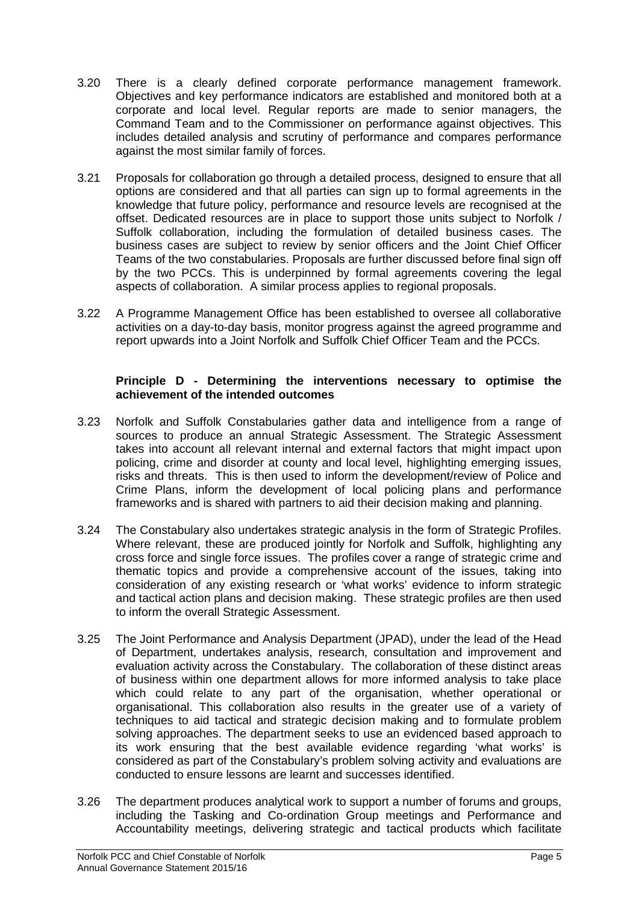- 3.20 There is a clearly defined corporate performance management framework. Objectives and key performance indicators are established and monitored both at a corporate and local level. Regular reports are made to senior managers, the Command Team and to the Commissioner on performance against objectives. This includes detailed analysis and scrutiny of performance and compares performance against the most similar family of forces.
- 3.21 Proposals for collaboration go through a detailed process, designed to ensure that all options are considered and that all parties can sign up to formal agreements in the knowledge that future policy, performance and resource levels are recognised at the offset. Dedicated resources are in place to support those units subject to Norfolk / Suffolk collaboration, including the formulation of detailed business cases. The business cases are subject to review by senior officers and the Joint Chief Officer Teams of the two constabularies. Proposals are further discussed before final sign off by the two PCCs. This is underpinned by formal agreements covering the legal aspects of collaboration. A similar process applies to regional proposals.
- 3.22 A Programme Management Office has been established to oversee all collaborative activities on a day-to-day basis, monitor progress against the agreed programme and report upwards into a Joint Norfolk and Suffolk Chief Officer Team and the PCCs.

### **Principle D - Determining the interventions necessary to optimise the achievement of the intended outcomes**

- 3.23 Norfolk and Suffolk Constabularies gather data and intelligence from a range of sources to produce an annual Strategic Assessment. The Strategic Assessment takes into account all relevant internal and external factors that might impact upon policing, crime and disorder at county and local level, highlighting emerging issues, risks and threats. This is then used to inform the development/review of Police and Crime Plans, inform the development of local policing plans and performance frameworks and is shared with partners to aid their decision making and planning.
- 3.24 The Constabulary also undertakes strategic analysis in the form of Strategic Profiles. Where relevant, these are produced jointly for Norfolk and Suffolk, highlighting any cross force and single force issues. The profiles cover a range of strategic crime and thematic topics and provide a comprehensive account of the issues, taking into consideration of any existing research or 'what works' evidence to inform strategic and tactical action plans and decision making. These strategic profiles are then used to inform the overall Strategic Assessment.
- 3.25 The Joint Performance and Analysis Department (JPAD), under the lead of the Head of Department, undertakes analysis, research, consultation and improvement and evaluation activity across the Constabulary. The collaboration of these distinct areas of business within one department allows for more informed analysis to take place which could relate to any part of the organisation, whether operational or organisational. This collaboration also results in the greater use of a variety of techniques to aid tactical and strategic decision making and to formulate problem solving approaches. The department seeks to use an evidenced based approach to its work ensuring that the best available evidence regarding 'what works' is considered as part of the Constabulary's problem solving activity and evaluations are conducted to ensure lessons are learnt and successes identified.
- 3.26 The department produces analytical work to support a number of forums and groups, including the Tasking and Co-ordination Group meetings and Performance and Accountability meetings, delivering strategic and tactical products which facilitate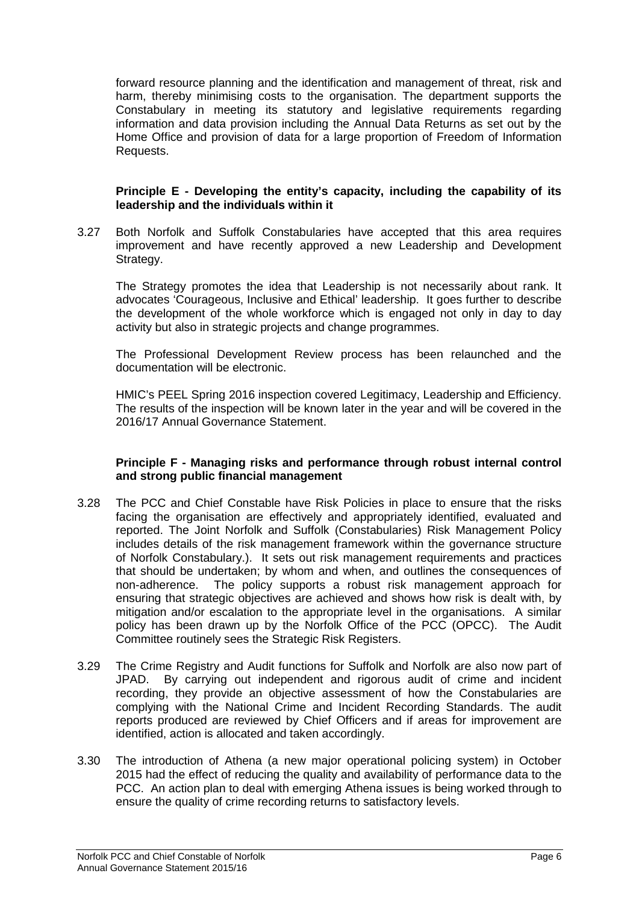forward resource planning and the identification and management of threat, risk and harm, thereby minimising costs to the organisation. The department supports the Constabulary in meeting its statutory and legislative requirements regarding information and data provision including the Annual Data Returns as set out by the Home Office and provision of data for a large proportion of Freedom of Information Requests.

#### **Principle E - Developing the entity's capacity, including the capability of its leadership and the individuals within it**

3.27 Both Norfolk and Suffolk Constabularies have accepted that this area requires improvement and have recently approved a new Leadership and Development Strategy.

The Strategy promotes the idea that Leadership is not necessarily about rank. It advocates 'Courageous, Inclusive and Ethical' leadership. It goes further to describe the development of the whole workforce which is engaged not only in day to day activity but also in strategic projects and change programmes.

The Professional Development Review process has been relaunched and the documentation will be electronic.

HMIC's PEEL Spring 2016 inspection covered Legitimacy, Leadership and Efficiency. The results of the inspection will be known later in the year and will be covered in the 2016/17 Annual Governance Statement.

#### **Principle F - Managing risks and performance through robust internal control and strong public financial management**

- 3.28 The PCC and Chief Constable have Risk Policies in place to ensure that the risks facing the organisation are effectively and appropriately identified, evaluated and reported. The Joint Norfolk and Suffolk (Constabularies) Risk Management Policy includes details of the risk management framework within the governance structure of Norfolk Constabulary.). It sets out risk management requirements and practices that should be undertaken; by whom and when, and outlines the consequences of non-adherence. The policy supports a robust risk management approach for ensuring that strategic objectives are achieved and shows how risk is dealt with, by mitigation and/or escalation to the appropriate level in the organisations. A similar policy has been drawn up by the Norfolk Office of the PCC (OPCC). The Audit Committee routinely sees the Strategic Risk Registers.
- 3.29 The Crime Registry and Audit functions for Suffolk and Norfolk are also now part of JPAD. By carrying out independent and rigorous audit of crime and incident recording, they provide an objective assessment of how the Constabularies are complying with the National Crime and Incident Recording Standards. The audit reports produced are reviewed by Chief Officers and if areas for improvement are identified, action is allocated and taken accordingly.
- 3.30 The introduction of Athena (a new major operational policing system) in October 2015 had the effect of reducing the quality and availability of performance data to the PCC. An action plan to deal with emerging Athena issues is being worked through to ensure the quality of crime recording returns to satisfactory levels.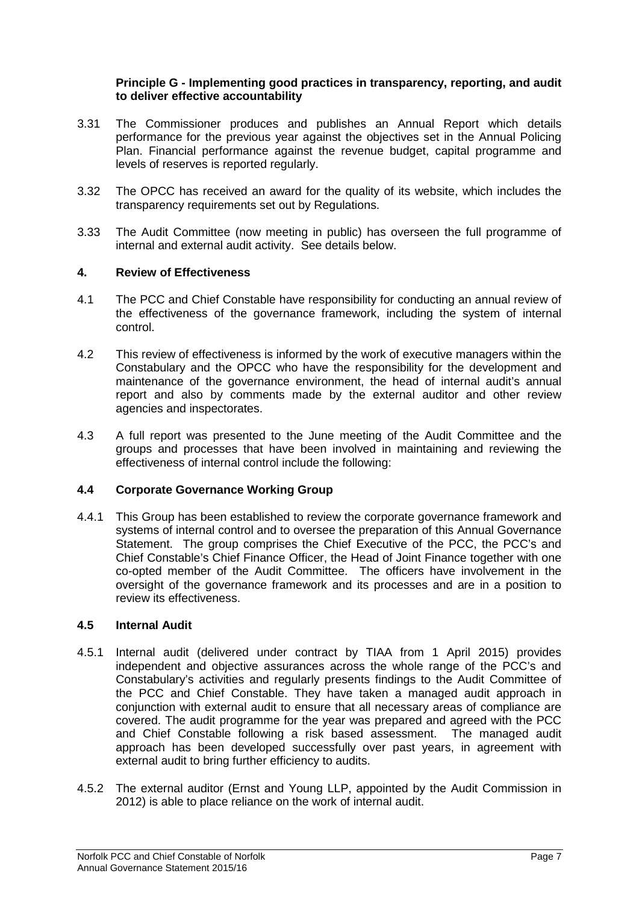#### **Principle G - Implementing good practices in transparency, reporting, and audit to deliver effective accountability**

- 3.31 The Commissioner produces and publishes an Annual Report which details performance for the previous year against the objectives set in the Annual Policing Plan. Financial performance against the revenue budget, capital programme and levels of reserves is reported regularly.
- 3.32 The OPCC has received an award for the quality of its website, which includes the transparency requirements set out by Regulations.
- 3.33 The Audit Committee (now meeting in public) has overseen the full programme of internal and external audit activity. See details below.

#### **4. Review of Effectiveness**

- 4.1 The PCC and Chief Constable have responsibility for conducting an annual review of the effectiveness of the governance framework, including the system of internal control.
- 4.2 This review of effectiveness is informed by the work of executive managers within the Constabulary and the OPCC who have the responsibility for the development and maintenance of the governance environment, the head of internal audit's annual report and also by comments made by the external auditor and other review agencies and inspectorates.
- 4.3 A full report was presented to the June meeting of the Audit Committee and the groups and processes that have been involved in maintaining and reviewing the effectiveness of internal control include the following:

### **4.4 Corporate Governance Working Group**

4.4.1 This Group has been established to review the corporate governance framework and systems of internal control and to oversee the preparation of this Annual Governance Statement. The group comprises the Chief Executive of the PCC, the PCC's and Chief Constable's Chief Finance Officer, the Head of Joint Finance together with one co-opted member of the Audit Committee. The officers have involvement in the oversight of the governance framework and its processes and are in a position to review its effectiveness.

#### **4.5 Internal Audit**

- 4.5.1 Internal audit (delivered under contract by TIAA from 1 April 2015) provides independent and objective assurances across the whole range of the PCC's and Constabulary's activities and regularly presents findings to the Audit Committee of the PCC and Chief Constable. They have taken a managed audit approach in conjunction with external audit to ensure that all necessary areas of compliance are covered. The audit programme for the year was prepared and agreed with the PCC and Chief Constable following a risk based assessment. The managed audit approach has been developed successfully over past years, in agreement with external audit to bring further efficiency to audits.
- 4.5.2 The external auditor (Ernst and Young LLP, appointed by the Audit Commission in 2012) is able to place reliance on the work of internal audit.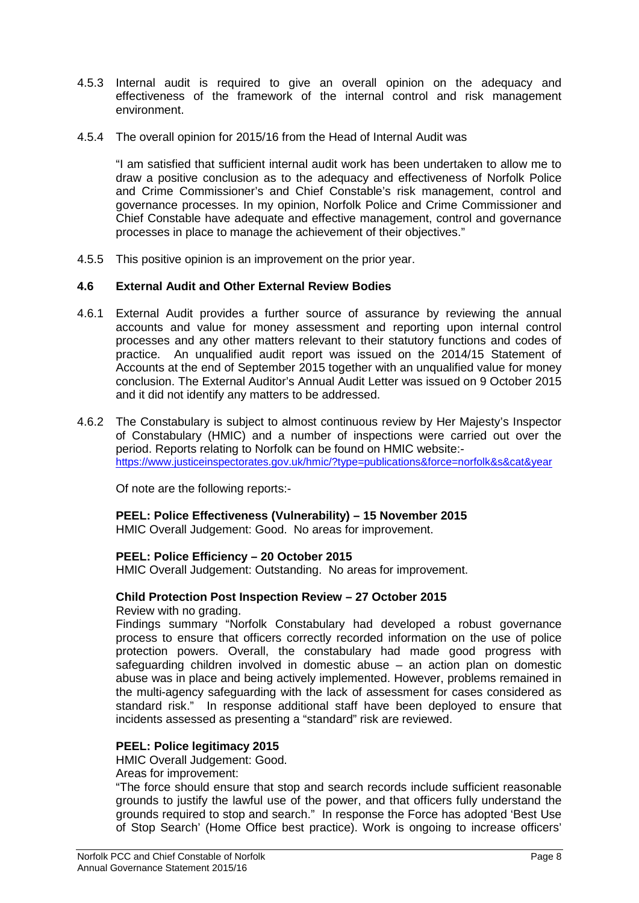- 4.5.3 Internal audit is required to give an overall opinion on the adequacy and effectiveness of the framework of the internal control and risk management environment.
- 4.5.4 The overall opinion for 2015/16 from the Head of Internal Audit was

"I am satisfied that sufficient internal audit work has been undertaken to allow me to draw a positive conclusion as to the adequacy and effectiveness of Norfolk Police and Crime Commissioner's and Chief Constable's risk management, control and governance processes. In my opinion, Norfolk Police and Crime Commissioner and Chief Constable have adequate and effective management, control and governance processes in place to manage the achievement of their objectives."

4.5.5 This positive opinion is an improvement on the prior year.

# **4.6 External Audit and Other External Review Bodies**

- 4.6.1 External Audit provides a further source of assurance by reviewing the annual accounts and value for money assessment and reporting upon internal control processes and any other matters relevant to their statutory functions and codes of practice. An unqualified audit report was issued on the 2014/15 Statement of Accounts at the end of September 2015 together with an unqualified value for money conclusion. The External Auditor's Annual Audit Letter was issued on 9 October 2015 and it did not identify any matters to be addressed.
- 4.6.2 The Constabulary is subject to almost continuous review by Her Majesty's Inspector of Constabulary (HMIC) and a number of inspections were carried out over the period. Reports relating to Norfolk can be found on HMIC website: <https://www.justiceinspectorates.gov.uk/hmic/?type=publications&force=norfolk&s&cat&year>

Of note are the following reports:-

# **PEEL: Police Effectiveness (Vulnerability) – 15 November 2015**

HMIC Overall Judgement: Good. No areas for improvement.

# **PEEL: Police Efficiency – 20 October 2015**

HMIC Overall Judgement: Outstanding. No areas for improvement.

# **Child Protection Post Inspection Review – 27 October 2015**

Review with no grading.

Findings summary "Norfolk Constabulary had developed a robust governance process to ensure that officers correctly recorded information on the use of police protection powers. Overall, the constabulary had made good progress with safeguarding children involved in domestic abuse – an action plan on domestic abuse was in place and being actively implemented. However, problems remained in the multi-agency safeguarding with the lack of assessment for cases considered as standard risk." In response additional staff have been deployed to ensure that incidents assessed as presenting a "standard" risk are reviewed.

# **PEEL: Police legitimacy 2015**

HMIC Overall Judgement: Good.

Areas for improvement:

"The force should ensure that stop and search records include sufficient reasonable grounds to justify the lawful use of the power, and that officers fully understand the grounds required to stop and search." In response the Force has adopted 'Best Use of Stop Search' (Home Office best practice). Work is ongoing to increase officers'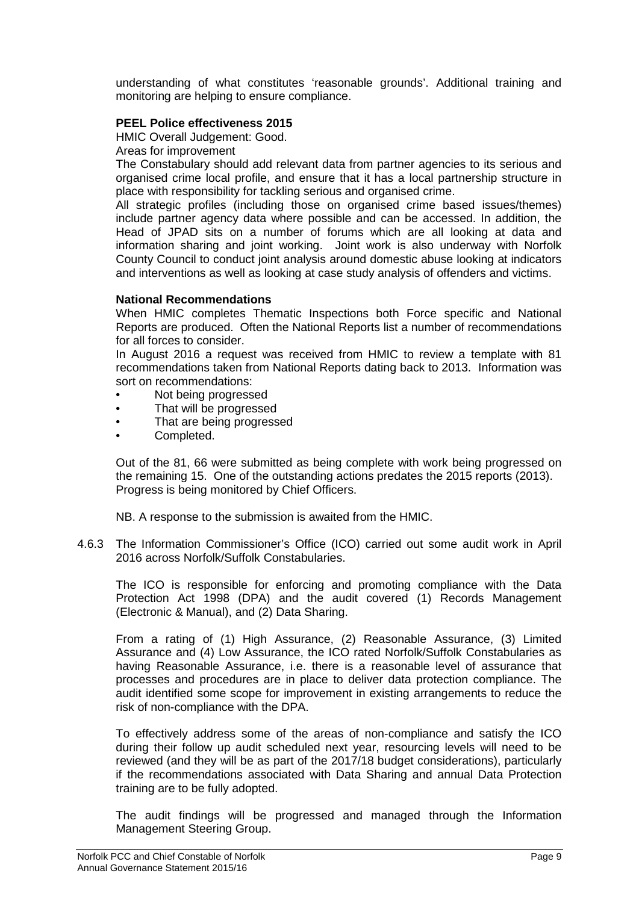understanding of what constitutes 'reasonable grounds'. Additional training and monitoring are helping to ensure compliance.

### **PEEL Police effectiveness 2015**

HMIC Overall Judgement: Good.

Areas for improvement

The Constabulary should add relevant data from partner agencies to its serious and organised crime local profile, and ensure that it has a local partnership structure in place with responsibility for tackling serious and organised crime.

All strategic profiles (including those on organised crime based issues/themes) include partner agency data where possible and can be accessed. In addition, the Head of JPAD sits on a number of forums which are all looking at data and information sharing and joint working. Joint work is also underway with Norfolk County Council to conduct joint analysis around domestic abuse looking at indicators and interventions as well as looking at case study analysis of offenders and victims.

#### **National Recommendations**

When HMIC completes Thematic Inspections both Force specific and National Reports are produced. Often the National Reports list a number of recommendations for all forces to consider.

In August 2016 a request was received from HMIC to review a template with 81 recommendations taken from National Reports dating back to 2013. Information was sort on recommendations:

- Not being progressed
- That will be progressed
- That are being progressed
- Completed.

Out of the 81, 66 were submitted as being complete with work being progressed on the remaining 15. One of the outstanding actions predates the 2015 reports (2013). Progress is being monitored by Chief Officers.

NB. A response to the submission is awaited from the HMIC.

4.6.3 The Information Commissioner's Office (ICO) carried out some audit work in April 2016 across Norfolk/Suffolk Constabularies.

The ICO is responsible for enforcing and promoting compliance with the Data Protection Act 1998 (DPA) and the audit covered (1) Records Management (Electronic & Manual), and (2) Data Sharing.

From a rating of (1) High Assurance, (2) Reasonable Assurance, (3) Limited Assurance and (4) Low Assurance, the ICO rated Norfolk/Suffolk Constabularies as having Reasonable Assurance, i.e. there is a reasonable level of assurance that processes and procedures are in place to deliver data protection compliance. The audit identified some scope for improvement in existing arrangements to reduce the risk of non-compliance with the DPA.

To effectively address some of the areas of non-compliance and satisfy the ICO during their follow up audit scheduled next year, resourcing levels will need to be reviewed (and they will be as part of the 2017/18 budget considerations), particularly if the recommendations associated with Data Sharing and annual Data Protection training are to be fully adopted.

The audit findings will be progressed and managed through the Information Management Steering Group.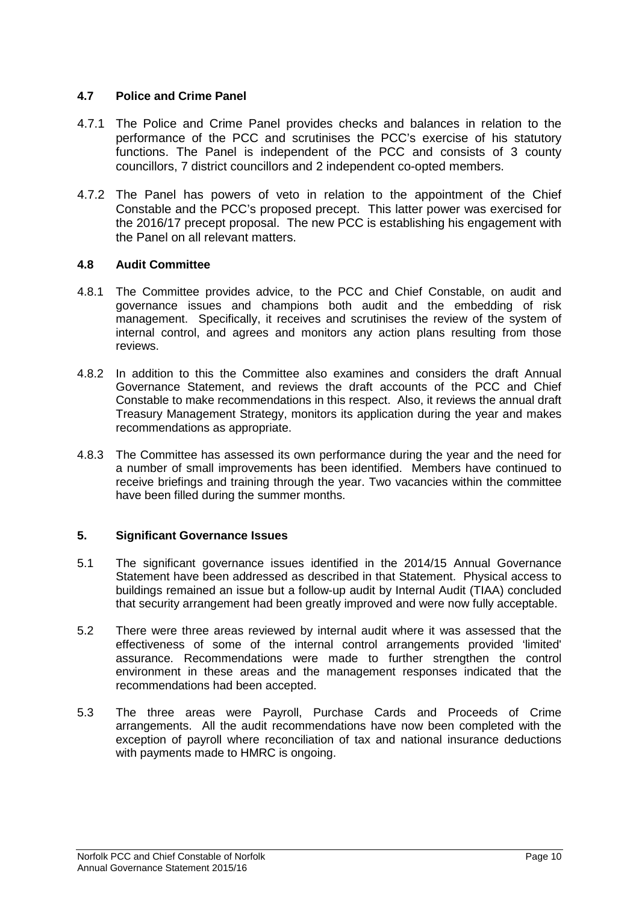# **4.7 Police and Crime Panel**

- 4.7.1 The Police and Crime Panel provides checks and balances in relation to the performance of the PCC and scrutinises the PCC's exercise of his statutory functions. The Panel is independent of the PCC and consists of 3 county councillors, 7 district councillors and 2 independent co-opted members.
- 4.7.2 The Panel has powers of veto in relation to the appointment of the Chief Constable and the PCC's proposed precept. This latter power was exercised for the 2016/17 precept proposal. The new PCC is establishing his engagement with the Panel on all relevant matters.

# **4.8 Audit Committee**

- 4.8.1 The Committee provides advice, to the PCC and Chief Constable, on audit and governance issues and champions both audit and the embedding of risk management. Specifically, it receives and scrutinises the review of the system of internal control, and agrees and monitors any action plans resulting from those reviews.
- 4.8.2 In addition to this the Committee also examines and considers the draft Annual Governance Statement, and reviews the draft accounts of the PCC and Chief Constable to make recommendations in this respect. Also, it reviews the annual draft Treasury Management Strategy, monitors its application during the year and makes recommendations as appropriate.
- 4.8.3 The Committee has assessed its own performance during the year and the need for a number of small improvements has been identified. Members have continued to receive briefings and training through the year. Two vacancies within the committee have been filled during the summer months.

# **5. Significant Governance Issues**

- 5.1 The significant governance issues identified in the 2014/15 Annual Governance Statement have been addressed as described in that Statement. Physical access to buildings remained an issue but a follow-up audit by Internal Audit (TIAA) concluded that security arrangement had been greatly improved and were now fully acceptable.
- 5.2 There were three areas reviewed by internal audit where it was assessed that the effectiveness of some of the internal control arrangements provided 'limited' assurance. Recommendations were made to further strengthen the control environment in these areas and the management responses indicated that the recommendations had been accepted.
- 5.3 The three areas were Payroll, Purchase Cards and Proceeds of Crime arrangements. All the audit recommendations have now been completed with the exception of payroll where reconciliation of tax and national insurance deductions with payments made to HMRC is ongoing.